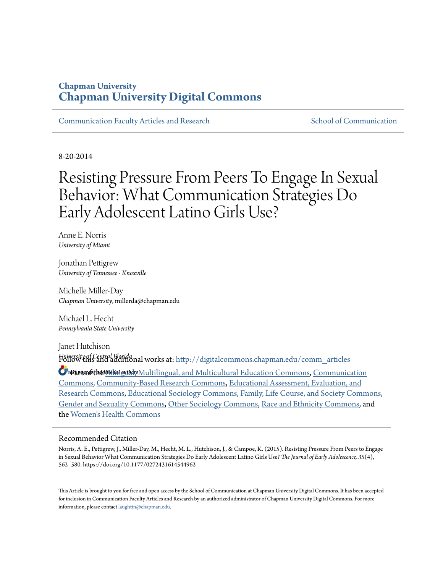### **Chapman University [Chapman University Digital Commons](http://digitalcommons.chapman.edu?utm_source=digitalcommons.chapman.edu%2Fcomm_articles%2F27&utm_medium=PDF&utm_campaign=PDFCoverPages)**

[Communication Faculty Articles and Research](http://digitalcommons.chapman.edu/comm_articles?utm_source=digitalcommons.chapman.edu%2Fcomm_articles%2F27&utm_medium=PDF&utm_campaign=PDFCoverPages) [School of Communication](http://digitalcommons.chapman.edu/communication?utm_source=digitalcommons.chapman.edu%2Fcomm_articles%2F27&utm_medium=PDF&utm_campaign=PDFCoverPages)

8-20-2014

# Resisting Pressure From Peers To Engage In Sexual Behavior: What Communication Strategies Do Early Adolescent Latino Girls Use?

Anne E. Norris *University of Miami*

Jonathan Pettigrew *University of Tennessee - Knoxville*

Michelle Miller-Day *Chapman University*, millerda@chapman.edu

Michael L. Hecht *Pennsylvania State University*

Janet Hutchison *University of Central Florida* Follow this and additional works at: [http://digitalcommons.chapman.edu/comm\\_articles](http://digitalcommons.chapman.edu/comm_articles?utm_source=digitalcommons.chapman.edu%2Fcomm_articles%2F27&utm_medium=PDF&utm_campaign=PDFCoverPages)

**S** Partsofothe Bilinguilidity Multilingual, and Multicultural Education Commons, [Communication](http://network.bepress.com/hgg/discipline/325?utm_source=digitalcommons.chapman.edu%2Fcomm_articles%2F27&utm_medium=PDF&utm_campaign=PDFCoverPages) [Commons,](http://network.bepress.com/hgg/discipline/325?utm_source=digitalcommons.chapman.edu%2Fcomm_articles%2F27&utm_medium=PDF&utm_campaign=PDFCoverPages) [Community-Based Research Commons](http://network.bepress.com/hgg/discipline/1047?utm_source=digitalcommons.chapman.edu%2Fcomm_articles%2F27&utm_medium=PDF&utm_campaign=PDFCoverPages), [Educational Assessment, Evaluation, and](http://network.bepress.com/hgg/discipline/796?utm_source=digitalcommons.chapman.edu%2Fcomm_articles%2F27&utm_medium=PDF&utm_campaign=PDFCoverPages) [Research Commons,](http://network.bepress.com/hgg/discipline/796?utm_source=digitalcommons.chapman.edu%2Fcomm_articles%2F27&utm_medium=PDF&utm_campaign=PDFCoverPages) [Educational Sociology Commons,](http://network.bepress.com/hgg/discipline/1071?utm_source=digitalcommons.chapman.edu%2Fcomm_articles%2F27&utm_medium=PDF&utm_campaign=PDFCoverPages) [Family, Life Course, and Society Commons,](http://network.bepress.com/hgg/discipline/419?utm_source=digitalcommons.chapman.edu%2Fcomm_articles%2F27&utm_medium=PDF&utm_campaign=PDFCoverPages) [Gender and Sexuality Commons,](http://network.bepress.com/hgg/discipline/420?utm_source=digitalcommons.chapman.edu%2Fcomm_articles%2F27&utm_medium=PDF&utm_campaign=PDFCoverPages) [Other Sociology Commons,](http://network.bepress.com/hgg/discipline/434?utm_source=digitalcommons.chapman.edu%2Fcomm_articles%2F27&utm_medium=PDF&utm_campaign=PDFCoverPages) [Race and Ethnicity Commons,](http://network.bepress.com/hgg/discipline/426?utm_source=digitalcommons.chapman.edu%2Fcomm_articles%2F27&utm_medium=PDF&utm_campaign=PDFCoverPages) and the [Women's Health Commons](http://network.bepress.com/hgg/discipline/1241?utm_source=digitalcommons.chapman.edu%2Fcomm_articles%2F27&utm_medium=PDF&utm_campaign=PDFCoverPages)

#### Recommended Citation

Norris, A. E., Pettigrew, J., Miller-Day, M., Hecht, M. L., Hutchison, J., & Campoe, K. (2015). Resisting Pressure From Peers to Engage in Sexual Behavior What Communication Strategies Do Early Adolescent Latino Girls Use? *The Journal of Early Adolescence, 35*(4), 562–580. https://doi.org/10.1177/0272431614544962

This Article is brought to you for free and open access by the School of Communication at Chapman University Digital Commons. It has been accepted for inclusion in Communication Faculty Articles and Research by an authorized administrator of Chapman University Digital Commons. For more information, please contact [laughtin@chapman.edu](mailto:laughtin@chapman.edu).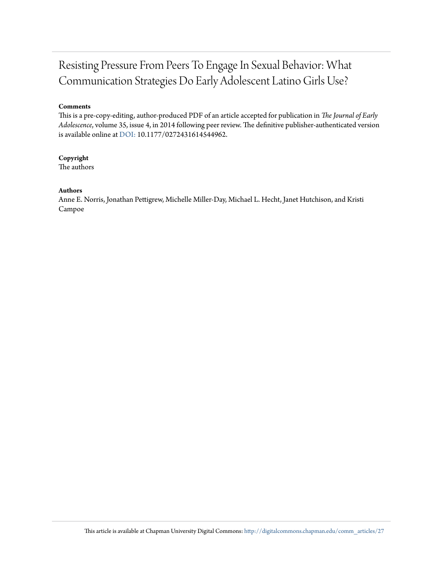## Resisting Pressure From Peers To Engage In Sexual Behavior: What Communication Strategies Do Early Adolescent Latino Girls Use?

#### **Comments**

This is a pre-copy-editing, author-produced PDF of an article accepted for publication in *The Journal of Early Adolescence*, volume 35, issue 4, in 2014 following peer review. The definitive publisher-authenticated version is available online at [DOI:](http://dx.doi.org/10.1177/0272431614544962) 10.1177/0272431614544962.

#### **Copyright**

The authors

#### **Authors**

Anne E. Norris, Jonathan Pettigrew, Michelle Miller-Day, Michael L. Hecht, Janet Hutchison, and Kristi Campoe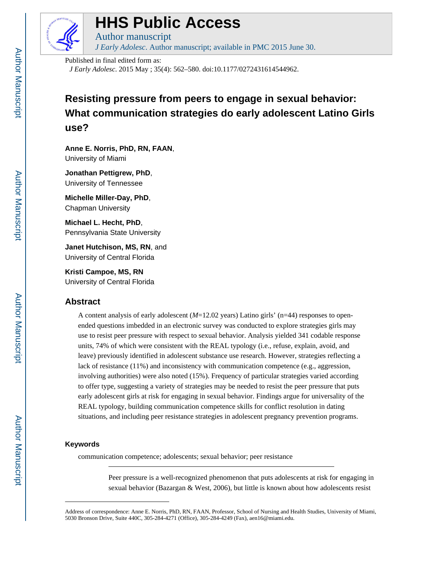

## **HHS Public Access**

Author manuscript *J Early Adolesc*. Author manuscript; available in PMC 2015 June 30.

Published in final edited form as:

*J Early Adolesc*. 2015 May ; 35(4): 562–580. doi:10.1177/0272431614544962.

### **Resisting pressure from peers to engage in sexual behavior: What communication strategies do early adolescent Latino Girls use?**

**Anne E. Norris, PhD, RN, FAAN**, University of Miami

**Jonathan Pettigrew, PhD**, University of Tennessee

**Michelle Miller-Day, PhD**, Chapman University

**Michael L. Hecht, PhD**, Pennsylvania State University

**Janet Hutchison, MS, RN**, and University of Central Florida

**Kristi Campoe, MS, RN** University of Central Florida

#### **Abstract**

A content analysis of early adolescent (*M*=12.02 years) Latino girls' (n=44) responses to openended questions imbedded in an electronic survey was conducted to explore strategies girls may use to resist peer pressure with respect to sexual behavior. Analysis yielded 341 codable response units, 74% of which were consistent with the REAL typology (i.e., refuse, explain, avoid, and leave) previously identified in adolescent substance use research. However, strategies reflecting a lack of resistance (11%) and inconsistency with communication competence (e.g., aggression, involving authorities) were also noted (15%). Frequency of particular strategies varied according to offer type, suggesting a variety of strategies may be needed to resist the peer pressure that puts early adolescent girls at risk for engaging in sexual behavior. Findings argue for universality of the REAL typology, building communication competence skills for conflict resolution in dating situations, and including peer resistance strategies in adolescent pregnancy prevention programs.

#### **Keywords**

communication competence; adolescents; sexual behavior; peer resistance

Peer pressure is a well-recognized phenomenon that puts adolescents at risk for engaging in sexual behavior (Bazargan & West, 2006), but little is known about how adolescents resist

Address of correspondence: Anne E. Norris, PhD, RN, FAAN, Professor, School of Nursing and Health Studies, University of Miami, 5030 Bronson Drive, Suite 440C, 305-284-4271 (Office), 305-284-4249 (Fax), aen16@miami.edu.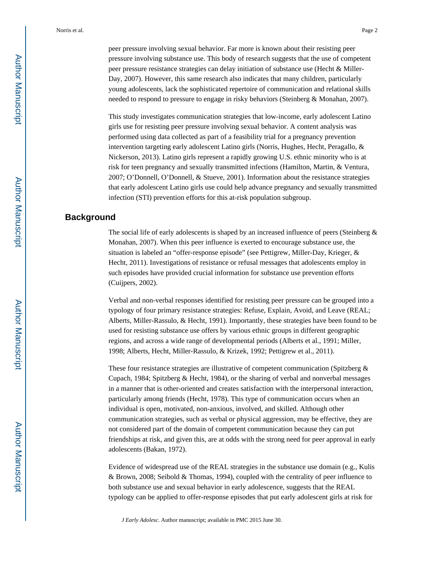peer pressure involving sexual behavior. Far more is known about their resisting peer pressure involving substance use. This body of research suggests that the use of competent peer pressure resistance strategies can delay initiation of substance use (Hecht & Miller-Day, 2007). However, this same research also indicates that many children, particularly young adolescents, lack the sophisticated repertoire of communication and relational skills needed to respond to pressure to engage in risky behaviors (Steinberg & Monahan, 2007).

This study investigates communication strategies that low-income, early adolescent Latino girls use for resisting peer pressure involving sexual behavior. A content analysis was performed using data collected as part of a feasibility trial for a pregnancy prevention intervention targeting early adolescent Latino girls (Norris, Hughes, Hecht, Peragallo, & Nickerson, 2013). Latino girls represent a rapidly growing U.S. ethnic minority who is at risk for teen pregnancy and sexually transmitted infections (Hamilton, Martin, & Ventura, 2007; O'Donnell, O'Donnell, & Stueve, 2001). Information about the resistance strategies that early adolescent Latino girls use could help advance pregnancy and sexually transmitted infection (STI) prevention efforts for this at-risk population subgroup.

#### **Background**

The social life of early adolescents is shaped by an increased influence of peers (Steinberg  $\&$ Monahan, 2007). When this peer influence is exerted to encourage substance use, the situation is labeled an "offer-response episode" (see Pettigrew, Miller-Day, Krieger, & Hecht, 2011). Investigations of resistance or refusal messages that adolescents employ in such episodes have provided crucial information for substance use prevention efforts (Cuijpers, 2002).

Verbal and non-verbal responses identified for resisting peer pressure can be grouped into a typology of four primary resistance strategies: Refuse, Explain, Avoid, and Leave (REAL; Alberts, Miller-Rassulo, & Hecht, 1991). Importantly, these strategies have been found to be used for resisting substance use offers by various ethnic groups in different geographic regions, and across a wide range of developmental periods (Alberts et al., 1991; Miller, 1998; Alberts, Hecht, Miller-Rassulo, & Krizek, 1992; Pettigrew et al., 2011).

These four resistance strategies are illustrative of competent communication (Spitzberg & Cupach, 1984; Spitzberg & Hecht, 1984), or the sharing of verbal and nonverbal messages in a manner that is other-oriented and creates satisfaction with the interpersonal interaction, particularly among friends (Hecht, 1978). This type of communication occurs when an individual is open, motivated, non-anxious, involved, and skilled. Although other communication strategies, such as verbal or physical aggression, may be effective, they are not considered part of the domain of competent communication because they can put friendships at risk, and given this, are at odds with the strong need for peer approval in early adolescents (Bakan, 1972).

Evidence of widespread use of the REAL strategies in the substance use domain (e.g., Kulis & Brown, 2008; Seibold & Thomas, 1994), coupled with the centrality of peer influence to both substance use and sexual behavior in early adolescence, suggests that the REAL typology can be applied to offer-response episodes that put early adolescent girls at risk for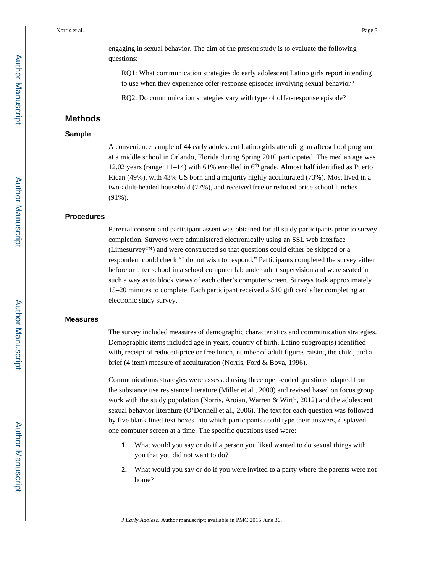RQ1: What communication strategies do early adolescent Latino girls report intending to use when they experience offer-response episodes involving sexual behavior?

RQ2: Do communication strategies vary with type of offer-response episode?

#### **Methods**

#### **Sample**

A convenience sample of 44 early adolescent Latino girls attending an afterschool program at a middle school in Orlando, Florida during Spring 2010 participated. The median age was 12.02 years (range:  $11-14$ ) with 61% enrolled in  $6<sup>th</sup>$  grade. Almost half identified as Puerto Rican (49%), with 43% US born and a majority highly acculturated (73%). Most lived in a two-adult-headed household (77%), and received free or reduced price school lunches (91%).

#### **Procedures**

Parental consent and participant assent was obtained for all study participants prior to survey completion. Surveys were administered electronically using an SSL web interface (Limesurvey™) and were constructed so that questions could either be skipped or a respondent could check "I do not wish to respond." Participants completed the survey either before or after school in a school computer lab under adult supervision and were seated in such a way as to block views of each other's computer screen. Surveys took approximately 15–20 minutes to complete. Each participant received a \$10 gift card after completing an electronic study survey.

#### **Measures**

The survey included measures of demographic characteristics and communication strategies. Demographic items included age in years, country of birth, Latino subgroup(s) identified with, receipt of reduced-price or free lunch, number of adult figures raising the child, and a brief (4 item) measure of acculturation (Norris, Ford & Bova, 1996).

Communications strategies were assessed using three open-ended questions adapted from the substance use resistance literature (Miller et al., 2000) and revised based on focus group work with the study population (Norris, Aroian, Warren & Wirth, 2012) and the adolescent sexual behavior literature (O'Donnell et al., 2006). The text for each question was followed by five blank lined text boxes into which participants could type their answers, displayed one computer screen at a time. The specific questions used were:

- **1.** What would you say or do if a person you liked wanted to do sexual things with you that you did not want to do?
- **2.** What would you say or do if you were invited to a party where the parents were not home?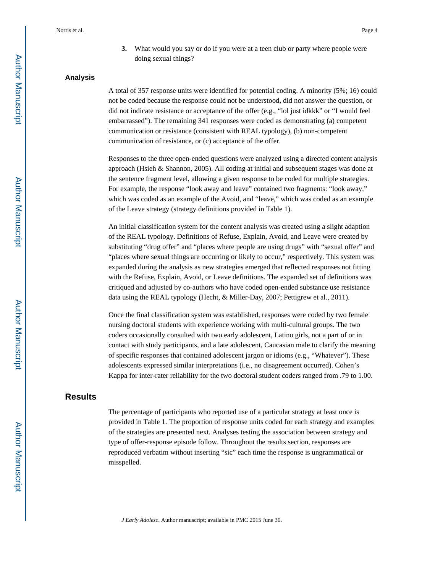**3.** What would you say or do if you were at a teen club or party where people were doing sexual things?

#### **Analysis**

A total of 357 response units were identified for potential coding. A minority (5%; 16) could not be coded because the response could not be understood, did not answer the question, or did not indicate resistance or acceptance of the offer (e.g., "lol just idkkk" or "I would feel embarrassed"). The remaining 341 responses were coded as demonstrating (a) competent communication or resistance (consistent with REAL typology), (b) non-competent communication of resistance, or (c) acceptance of the offer.

Responses to the three open-ended questions were analyzed using a directed content analysis approach (Hsieh & Shannon, 2005). All coding at initial and subsequent stages was done at the sentence fragment level, allowing a given response to be coded for multiple strategies. For example, the response "look away and leave" contained two fragments: "look away," which was coded as an example of the Avoid, and "leave," which was coded as an example of the Leave strategy (strategy definitions provided in Table 1).

An initial classification system for the content analysis was created using a slight adaption of the REAL typology. Definitions of Refuse, Explain, Avoid, and Leave were created by substituting "drug offer" and "places where people are using drugs" with "sexual offer" and "places where sexual things are occurring or likely to occur," respectively. This system was expanded during the analysis as new strategies emerged that reflected responses not fitting with the Refuse, Explain, Avoid, or Leave definitions. The expanded set of definitions was critiqued and adjusted by co-authors who have coded open-ended substance use resistance data using the REAL typology (Hecht, & Miller-Day, 2007; Pettigrew et al., 2011).

Once the final classification system was established, responses were coded by two female nursing doctoral students with experience working with multi-cultural groups. The two coders occasionally consulted with two early adolescent, Latino girls, not a part of or in contact with study participants, and a late adolescent, Caucasian male to clarify the meaning of specific responses that contained adolescent jargon or idioms (e.g., "Whatever"). These adolescents expressed similar interpretations (i.e., no disagreement occurred). Cohen's Kappa for inter-rater reliability for the two doctoral student coders ranged from .79 to 1.00.

#### **Results**

The percentage of participants who reported use of a particular strategy at least once is provided in Table 1. The proportion of response units coded for each strategy and examples of the strategies are presented next. Analyses testing the association between strategy and type of offer-response episode follow. Throughout the results section, responses are reproduced verbatim without inserting "sic" each time the response is ungrammatical or misspelled.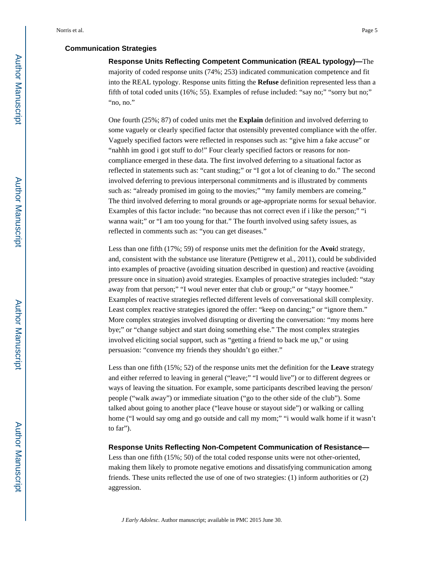#### **Communication Strategies**

**Response Units Reflecting Competent Communication (REAL typology)—**The majority of coded response units (74%; 253) indicated communication competence and fit into the REAL typology. Response units fitting the **Refuse** definition represented less than a fifth of total coded units (16%; 55). Examples of refuse included: "say no;" "sorry but no;" "no, no."

One fourth (25%; 87) of coded units met the **Explain** definition and involved deferring to some vaguely or clearly specified factor that ostensibly prevented compliance with the offer. Vaguely specified factors were reflected in responses such as: "give him a fake accuse" or "nahhh im good i got stuff to do!" Four clearly specified factors or reasons for noncompliance emerged in these data. The first involved deferring to a situational factor as reflected in statements such as: "cant studing;" or "I got a lot of cleaning to do." The second involved deferring to previous interpersonal commitments and is illustrated by comments such as: "already promised im going to the movies;" "my family members are comeing." The third involved deferring to moral grounds or age-appropriate norms for sexual behavior. Examples of this factor include: "no because thas not correct even if i like the person;" "i wanna wait;" or "I am too young for that." The fourth involved using safety issues, as reflected in comments such as: "you can get diseases."

Less than one fifth (17%; 59) of response units met the definition for the **Avoi**d strategy, and, consistent with the substance use literature (Pettigrew et al., 2011), could be subdivided into examples of proactive (avoiding situation described in question) and reactive (avoiding pressure once in situation) avoid strategies. Examples of proactive strategies included: "stay away from that person;" "I woul never enter that club or group;" or "stayy hoomee." Examples of reactive strategies reflected different levels of conversational skill complexity. Least complex reactive strategies ignored the offer: "keep on dancing;" or "ignore them." More complex strategies involved disrupting or diverting the conversation: "my moms here bye;" or "change subject and start doing something else." The most complex strategies involved eliciting social support, such as "getting a friend to back me up," or using persuasion: "convence my friends they shouldn't go either."

Less than one fifth (15%; 52) of the response units met the definition for the **Leave** strategy and either referred to leaving in general ("leave;" "I would live") or to different degrees or ways of leaving the situation. For example, some participants described leaving the person/ people ("walk away") or immediate situation ("go to the other side of the club"). Some talked about going to another place ("leave house or stayout side") or walking or calling home ("I would say omg and go outside and call my mom;" "i would walk home if it wasn't to far").

**Response Units Reflecting Non-Competent Communication of Resistance—**

Less than one fifth (15%; 50) of the total coded response units were not other-oriented, making them likely to promote negative emotions and dissatisfying communication among friends. These units reflected the use of one of two strategies: (1) inform authorities or (2) aggression.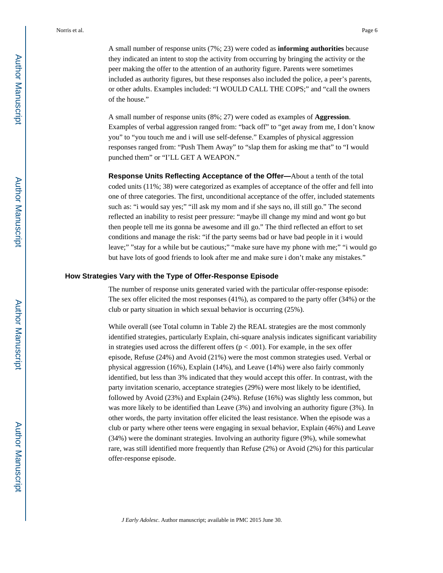A small number of response units (7%; 23) were coded as **informing authorities** because they indicated an intent to stop the activity from occurring by bringing the activity or the peer making the offer to the attention of an authority figure. Parents were sometimes included as authority figures, but these responses also included the police, a peer's parents, or other adults. Examples included: "I WOULD CALL THE COPS;" and "call the owners of the house."

A small number of response units (8%; 27) were coded as examples of **Aggression**. Examples of verbal aggression ranged from: "back off" to "get away from me, I don't know you" to "you touch me and i will use self-defense." Examples of physical aggression responses ranged from: "Push Them Away" to "slap them for asking me that" to "I would punched them" or "I'LL GET A WEAPON."

**Response Units Reflecting Acceptance of the Offer—**About a tenth of the total coded units (11%; 38) were categorized as examples of acceptance of the offer and fell into one of three categories. The first, unconditional acceptance of the offer, included statements such as: "i would say yes;" "ill ask my mom and if she says no, ill still go." The second reflected an inability to resist peer pressure: "maybe ill change my mind and wont go but then people tell me its gonna be awesome and ill go." The third reflected an effort to set conditions and manage the risk: "if the party seems bad or have bad people in it i would leave;" "stay for a while but be cautious;" "make sure have my phone with me;" "i would go but have lots of good friends to look after me and make sure i don't make any mistakes."

#### **How Strategies Vary with the Type of Offer-Response Episode**

The number of response units generated varied with the particular offer-response episode: The sex offer elicited the most responses (41%), as compared to the party offer (34%) or the club or party situation in which sexual behavior is occurring (25%).

While overall (see Total column in Table 2) the REAL strategies are the most commonly identified strategies, particularly Explain, chi-square analysis indicates significant variability in strategies used across the different offers ( $p < .001$ ). For example, in the sex offer episode, Refuse (24%) and Avoid (21%) were the most common strategies used. Verbal or physical aggression (16%), Explain (14%), and Leave (14%) were also fairly commonly identified, but less than 3% indicated that they would accept this offer. In contrast, with the party invitation scenario, acceptance strategies (29%) were most likely to be identified, followed by Avoid (23%) and Explain (24%). Refuse (16%) was slightly less common, but was more likely to be identified than Leave (3%) and involving an authority figure (3%). In other words, the party invitation offer elicited the least resistance. When the episode was a club or party where other teens were engaging in sexual behavior, Explain (46%) and Leave (34%) were the dominant strategies. Involving an authority figure (9%), while somewhat rare, was still identified more frequently than Refuse (2%) or Avoid (2%) for this particular offer-response episode.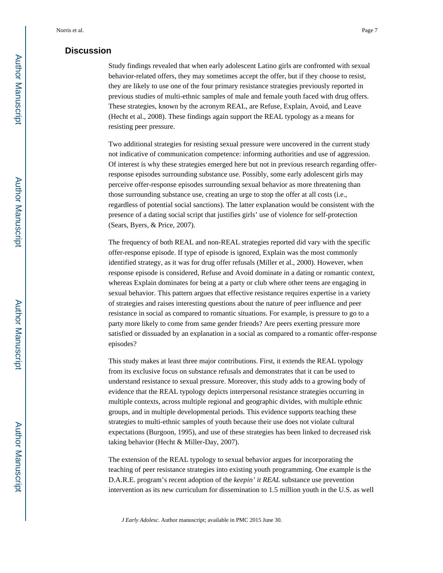#### **Discussion**

Study findings revealed that when early adolescent Latino girls are confronted with sexual behavior-related offers, they may sometimes accept the offer, but if they choose to resist, they are likely to use one of the four primary resistance strategies previously reported in previous studies of multi-ethnic samples of male and female youth faced with drug offers. These strategies, known by the acronym REAL, are Refuse, Explain, Avoid, and Leave (Hecht et al., 2008). These findings again support the REAL typology as a means for resisting peer pressure.

Two additional strategies for resisting sexual pressure were uncovered in the current study not indicative of communication competence: informing authorities and use of aggression. Of interest is why these strategies emerged here but not in previous research regarding offerresponse episodes surrounding substance use. Possibly, some early adolescent girls may perceive offer-response episodes surrounding sexual behavior as more threatening than those surrounding substance use, creating an urge to stop the offer at all costs (i.e., regardless of potential social sanctions). The latter explanation would be consistent with the presence of a dating social script that justifies girls' use of violence for self-protection (Sears, Byers, & Price, 2007).

The frequency of both REAL and non-REAL strategies reported did vary with the specific offer-response episode. If type of episode is ignored, Explain was the most commonly identified strategy, as it was for drug offer refusals (Miller et al., 2000). However, when response episode is considered, Refuse and Avoid dominate in a dating or romantic context, whereas Explain dominates for being at a party or club where other teens are engaging in sexual behavior. This pattern argues that effective resistance requires expertise in a variety of strategies and raises interesting questions about the nature of peer influence and peer resistance in social as compared to romantic situations. For example, is pressure to go to a party more likely to come from same gender friends? Are peers exerting pressure more satisfied or dissuaded by an explanation in a social as compared to a romantic offer-response episodes?

This study makes at least three major contributions. First, it extends the REAL typology from its exclusive focus on substance refusals and demonstrates that it can be used to understand resistance to sexual pressure. Moreover, this study adds to a growing body of evidence that the REAL typology depicts interpersonal resistance strategies occurring in multiple contexts, across multiple regional and geographic divides, with multiple ethnic groups, and in multiple developmental periods. This evidence supports teaching these strategies to multi-ethnic samples of youth because their use does not violate cultural expectations (Burgoon, 1995), and use of these strategies has been linked to decreased risk taking behavior (Hecht & Miller-Day, 2007).

The extension of the REAL typology to sexual behavior argues for incorporating the teaching of peer resistance strategies into existing youth programming. One example is the D.A.R.E. program's recent adoption of the *keepin' it REAL* substance use prevention intervention as its new curriculum for dissemination to 1.5 million youth in the U.S. as well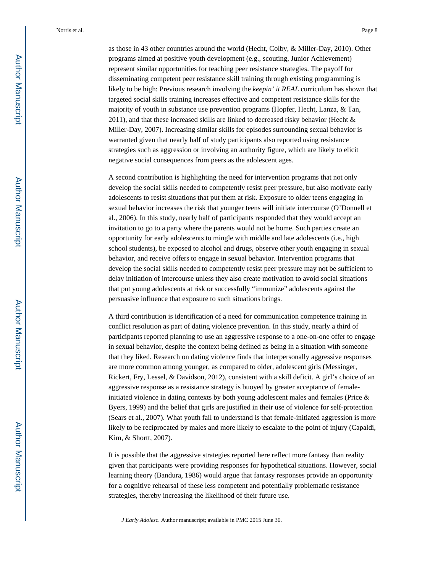as those in 43 other countries around the world (Hecht, Colby, & Miller-Day, 2010). Other programs aimed at positive youth development (e.g., scouting, Junior Achievement) represent similar opportunities for teaching peer resistance strategies. The payoff for disseminating competent peer resistance skill training through existing programming is likely to be high: Previous research involving the *keepin' it REAL* curriculum has shown that targeted social skills training increases effective and competent resistance skills for the majority of youth in substance use prevention programs (Hopfer, Hecht, Lanza, & Tan, 2011), and that these increased skills are linked to decreased risky behavior (Hecht & Miller-Day, 2007). Increasing similar skills for episodes surrounding sexual behavior is warranted given that nearly half of study participants also reported using resistance strategies such as aggression or involving an authority figure, which are likely to elicit negative social consequences from peers as the adolescent ages.

A second contribution is highlighting the need for intervention programs that not only develop the social skills needed to competently resist peer pressure, but also motivate early adolescents to resist situations that put them at risk. Exposure to older teens engaging in sexual behavior increases the risk that younger teens will initiate intercourse (O'Donnell et al., 2006). In this study, nearly half of participants responded that they would accept an invitation to go to a party where the parents would not be home. Such parties create an opportunity for early adolescents to mingle with middle and late adolescents (i.e., high school students), be exposed to alcohol and drugs, observe other youth engaging in sexual behavior, and receive offers to engage in sexual behavior. Intervention programs that develop the social skills needed to competently resist peer pressure may not be sufficient to delay initiation of intercourse unless they also create motivation to avoid social situations that put young adolescents at risk or successfully "immunize" adolescents against the persuasive influence that exposure to such situations brings.

A third contribution is identification of a need for communication competence training in conflict resolution as part of dating violence prevention. In this study, nearly a third of participants reported planning to use an aggressive response to a one-on-one offer to engage in sexual behavior, despite the context being defined as being in a situation with someone that they liked. Research on dating violence finds that interpersonally aggressive responses are more common among younger, as compared to older, adolescent girls (Messinger, Rickert, Fry, Lessel, & Davidson, 2012), consistent with a skill deficit. A girl's choice of an aggressive response as a resistance strategy is buoyed by greater acceptance of femaleinitiated violence in dating contexts by both young adolescent males and females (Price & Byers, 1999) and the belief that girls are justified in their use of violence for self-protection (Sears et al., 2007). What youth fail to understand is that female-initiated aggression is more likely to be reciprocated by males and more likely to escalate to the point of injury (Capaldi, Kim, & Shortt, 2007).

It is possible that the aggressive strategies reported here reflect more fantasy than reality given that participants were providing responses for hypothetical situations. However, social learning theory (Bandura, 1986) would argue that fantasy responses provide an opportunity for a cognitive rehearsal of these less competent and potentially problematic resistance strategies, thereby increasing the likelihood of their future use.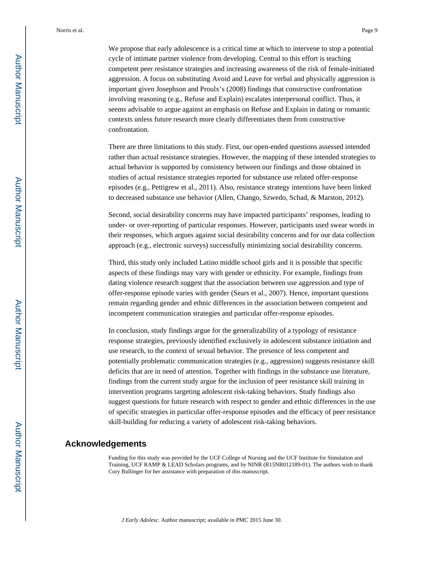We propose that early adolescence is a critical time at which to intervene to stop a potential cycle of intimate partner violence from developing. Central to this effort is teaching competent peer resistance strategies and increasing awareness of the risk of female-initiated aggression. A focus on substituting Avoid and Leave for verbal and physically aggression is important given Josephson and Proulx's (2008) findings that constructive confrontation involving reasoning (e.g., Refuse and Explain) escalates interpersonal conflict. Thus, it seems advisable to argue against an emphasis on Refuse and Explain in dating or romantic contexts unless future research more clearly differentiates them from constructive confrontation.

There are three limitations to this study. First, our open-ended questions assessed intended rather than actual resistance strategies. However, the mapping of these intended strategies to actual behavior is supported by consistency between our findings and those obtained in studies of actual resistance strategies reported for substance use related offer-response episodes (e.g., Pettigrew et al., 2011). Also, resistance strategy intentions have been linked to decreased substance use behavior (Allen, Chango, Szwedo, Schad, & Marston, 2012).

Second, social desirability concerns may have impacted participants' responses, leading to under- or over-reporting of particular responses. However, participants used swear words in their responses, which argues against social desirability concerns and for our data collection approach (e.g., electronic surveys) successfully minimizing social desirability concerns.

Third, this study only included Latino middle school girls and it is possible that specific aspects of these findings may vary with gender or ethnicity. For example, findings from dating violence research suggest that the association between use aggression and type of offer-response episode varies with gender (Sears et al., 2007). Hence, important questions remain regarding gender and ethnic differences in the association between competent and incompetent communication strategies and particular offer-response episodes.

In conclusion, study findings argue for the generalizability of a typology of resistance response strategies, previously identified exclusively in adolescent substance initiation and use research, to the context of sexual behavior. The presence of less competent and potentially problematic communication strategies (e.g., aggression) suggests resistance skill deficits that are in need of attention. Together with findings in the substance use literature, findings from the current study argue for the inclusion of peer resistance skill training in intervention programs targeting adolescent risk-taking behaviors. Study findings also suggest questions for future research with respect to gender and ethnic differences in the use of specific strategies in particular offer-response episodes and the efficacy of peer resistance skill-building for reducing a variety of adolescent risk-taking behaviors.

#### **Acknowledgements**

Funding for this study was provided by the UCF College of Nursing and the UCF Institute for Simulation and Training, UCF RAMP & LEAD Scholars programs, and by NINR (R15NR012189-01). The authors wish to thank Cory Bullinger for her assistance with preparation of this manuscript.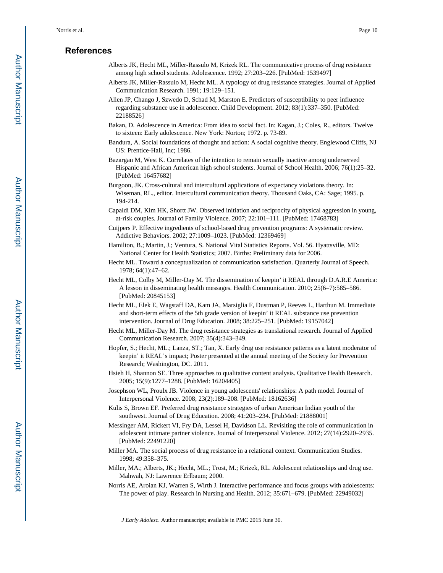#### **References**

- Alberts JK, Hecht ML, Miller-Rassulo M, Krizek RL. The communicative process of drug resistance among high school students. Adolescence. 1992; 27:203–226. [PubMed: 1539497]
- Alberts JK, Miller-Rassulo M, Hecht ML. A typology of drug resistance strategies. Journal of Applied Communication Research. 1991; 19:129–151.
- Allen JP, Chango J, Szwedo D, Schad M, Marston E. Predictors of susceptibility to peer influence regarding substance use in adolescence. Child Development. 2012; 83(1):337–350. [PubMed: 22188526]
- Bakan, D. Adolescence in America: From idea to social fact. In: Kagan, J.; Coles, R., editors. Twelve to sixteen: Early adolescence. New York: Norton; 1972. p. 73-89.
- Bandura, A. Social foundations of thought and action: A social cognitive theory. Englewood Cliffs, NJ US: Prentice-Hall, Inc; 1986.
- Bazargan M, West K. Correlates of the intention to remain sexually inactive among underserved Hispanic and African American high school students. Journal of School Health. 2006; 76(1):25–32. [PubMed: 16457682]
- Burgoon, JK. Cross-cultural and intercultural applications of expectancy violations theory. In: Wiseman, RL., editor. Intercultural communication theory. Thousand Oaks, CA: Sage; 1995. p. 194-214.
- Capaldi DM, Kim HK, Shortt JW. Observed initiation and reciprocity of physical aggression in young, at-risk couples. Journal of Family Violence. 2007; 22:101–111. [PubMed: 17468783]
- Cuijpers P. Effective ingredients of school-based drug prevention programs: A systematic review. Addictive Behaviors. 2002; 27:1009–1023. [PubMed: 12369469]
- Hamilton, B.; Martin, J.; Ventura, S. National Vital Statistics Reports. Vol. 56. Hyattsville, MD: National Center for Health Statistics; 2007. Births: Preliminary data for 2006.
- Hecht ML. Toward a conceptualization of communication satisfaction. Quarterly Journal of Speech. 1978; 64(1):47–62.
- Hecht ML, Colby M, Miller-Day M. The dissemination of keepin' it REAL through D.A.R.E America: A lesson in disseminating health messages. Health Communication. 2010; 25(6–7):585–586. [PubMed: 20845153]
- Hecht ML, Elek E, Wagstaff DA, Kam JA, Marsiglia F, Dustman P, Reeves L, Harthun M. Immediate and short-term effects of the 5th grade version of keepin' it REAL substance use prevention intervention. Journal of Drug Education. 2008; 38:225–251. [PubMed: 19157042]
- Hecht ML, Miller-Day M. The drug resistance strategies as translational research. Journal of Applied Communication Research. 2007; 35(4):343–349.
- Hopfer, S.; Hecht, ML.; Lanza, ST.; Tan, X. Early drug use resistance patterns as a latent moderator of keepin' it REAL's impact; Poster presented at the annual meeting of the Society for Prevention Research; Washington, DC. 2011.
- Hsieh H, Shannon SE. Three approaches to qualitative content analysis. Qualitative Health Research. 2005; 15(9):1277–1288. [PubMed: 16204405]
- Josephson WL, Proulx JB. Violence in young adolescents' relationships: A path model. Journal of Interpersonal Violence. 2008; 23(2):189–208. [PubMed: 18162636]
- Kulis S, Brown EF. Preferred drug resistance strategies of urban American Indian youth of the southwest. Journal of Drug Education. 2008; 41:203–234. [PubMed: 21888001]
- Messinger AM, Rickert VI, Fry DA, Lessel H, Davidson LL. Revisiting the role of communication in adolescent intimate partner violence. Journal of Interpersonal Violence. 2012; 27(14):2920–2935. [PubMed: 22491220]
- Miller MA. The social process of drug resistance in a relational context. Communication Studies. 1998; 49:358–375.
- Miller, MA.; Alberts, JK.; Hecht, ML.; Trost, M.; Krizek, RL. Adolescent relationships and drug use. Mahwah, NJ: Lawrence Erlbaum; 2000.
- Norris AE, Aroian KJ, Warren S, Wirth J. Interactive performance and focus groups with adolescents: The power of play. Research in Nursing and Health. 2012; 35:671–679. [PubMed: 22949032]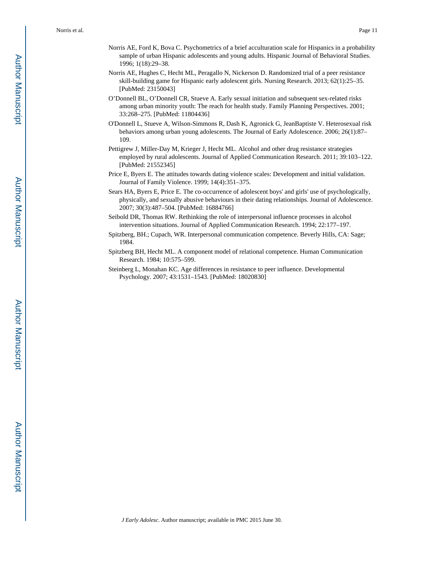- Norris AE, Ford K, Bova C. Psychometrics of a brief acculturation scale for Hispanics in a probability sample of urban Hispanic adolescents and young adults. Hispanic Journal of Behavioral Studies. 1996; 1(18):29–38.
- Norris AE, Hughes C, Hecht ML, Peragallo N, Nickerson D. Randomized trial of a peer resistance skill-building game for Hispanic early adolescent girls. Nursing Research. 2013; 62(1):25–35. [PubMed: 23150043]
- O'Donnell BL, O'Donnell CR, Stueve A. Early sexual initiation and subsequent sex-related risks among urban minority youth: The reach for health study. Family Planning Perspectives. 2001; 33:268–275. [PubMed: 11804436]
- O'Donnell L, Stueve A, Wilson-Simmons R, Dash K, Agronick G, JeanBaptiste V. Heterosexual risk behaviors among urban young adolescents. The Journal of Early Adolescence. 2006; 26(1):87– 109.
- Pettigrew J, Miller-Day M, Krieger J, Hecht ML. Alcohol and other drug resistance strategies employed by rural adolescents. Journal of Applied Communication Research. 2011; 39:103–122. [PubMed: 21552345]
- Price E, Byers E. The attitudes towards dating violence scales: Development and initial validation. Journal of Family Violence. 1999; 14(4):351–375.
- Sears HA, Byers E, Price E. The co-occurrence of adolescent boys' and girls' use of psychologically, physically, and sexually abusive behaviours in their dating relationships. Journal of Adolescence. 2007; 30(3):487–504. [PubMed: 16884766]
- Seibold DR, Thomas RW. Rethinking the role of interpersonal influence processes in alcohol intervention situations. Journal of Applied Communication Research. 1994; 22:177–197.
- Spitzberg, BH.; Cupach, WR. Interpersonal communication competence. Beverly Hills, CA: Sage; 1984.
- Spitzberg BH, Hecht ML. A component model of relational competence. Human Communication Research. 1984; 10:575–599.
- Steinberg L, Monahan KC. Age differences in resistance to peer influence. Developmental Psychology. 2007; 43:1531–1543. [PubMed: 18020830]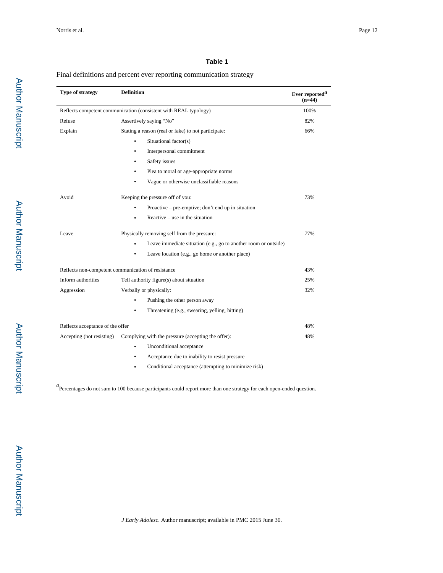#### **Table 1**

#### Final definitions and percent ever reporting communication strategy

| Type of strategy                                                 | <b>Definition</b>                                               | Ever reported <sup>a</sup><br>$(n=44)$ |
|------------------------------------------------------------------|-----------------------------------------------------------------|----------------------------------------|
| Reflects competent communication (consistent with REAL typology) | 100%                                                            |                                        |
| Refuse                                                           | Assertively saying "No"                                         | 82%                                    |
| Explain                                                          | Stating a reason (real or fake) to not participate:             | 66%                                    |
|                                                                  | Situational factor(s)<br>۰                                      |                                        |
|                                                                  | Interpersonal commitment<br>٠                                   |                                        |
|                                                                  | Safety issues                                                   |                                        |
|                                                                  | Plea to moral or age-appropriate norms                          |                                        |
|                                                                  | Vague or otherwise unclassifiable reasons                       |                                        |
| Avoid                                                            | Keeping the pressure off of you:                                | 73%                                    |
|                                                                  | Proactive – pre-emptive; don't end up in situation<br>$\bullet$ |                                        |
|                                                                  | Reactive – use in the situation<br>$\bullet$                    |                                        |
| Leave                                                            | Physically removing self from the pressure:                     | 77%                                    |
|                                                                  | Leave immediate situation (e.g., go to another room or outside) |                                        |
|                                                                  | Leave location (e.g., go home or another place)<br>٠            |                                        |
| Reflects non-competent communication of resistance               | 43%                                                             |                                        |
| Inform authorities                                               | Tell authority figure(s) about situation                        | 25%                                    |
| Aggression                                                       | Verbally or physically:                                         | 32%                                    |
|                                                                  | Pushing the other person away                                   |                                        |
|                                                                  | Threatening (e.g., swearing, yelling, hitting)<br>$\bullet$     |                                        |
| Reflects acceptance of the offer                                 |                                                                 | 48%                                    |
| Accepting (not resisting)                                        | Complying with the pressure (accepting the offer):              | 48%                                    |
|                                                                  | Unconditional acceptance<br>٠                                   |                                        |
|                                                                  | Acceptance due to inability to resist pressure<br>٠             |                                        |
|                                                                  | Conditional acceptance (attempting to minimize risk)            |                                        |

*a*<br>Percentages do not sum to 100 because participants could report more than one strategy for each open-ended question.